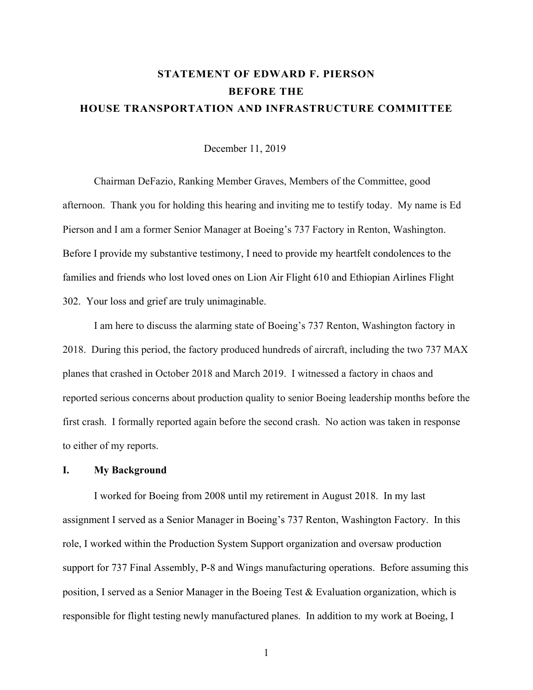# **STATEMENT OF EDWARD F. PIERSON BEFORE THE HOUSE TRANSPORTATION AND INFRASTRUCTURE COMMITTEE**

December 11, 2019

 Chairman DeFazio, Ranking Member Graves, Members of the Committee, good afternoon. Thank you for holding this hearing and inviting me to testify today. My name is Ed Pierson and I am a former Senior Manager at Boeing's 737 Factory in Renton, Washington. Before I provide my substantive testimony, I need to provide my heartfelt condolences to the families and friends who lost loved ones on Lion Air Flight 610 and Ethiopian Airlines Flight 302. Your loss and grief are truly unimaginable.

I am here to discuss the alarming state of Boeing's 737 Renton, Washington factory in 2018. During this period, the factory produced hundreds of aircraft, including the two 737 MAX planes that crashed in October 2018 and March 2019. I witnessed a factory in chaos and reported serious concerns about production quality to senior Boeing leadership months before the first crash. I formally reported again before the second crash. No action was taken in response to either of my reports.

### **I. My Background**

I worked for Boeing from 2008 until my retirement in August 2018. In my last assignment I served as a Senior Manager in Boeing's 737 Renton, Washington Factory. In this role, I worked within the Production System Support organization and oversaw production support for 737 Final Assembly, P-8 and Wings manufacturing operations. Before assuming this position, I served as a Senior Manager in the Boeing Test & Evaluation organization, which is responsible for flight testing newly manufactured planes. In addition to my work at Boeing, I

1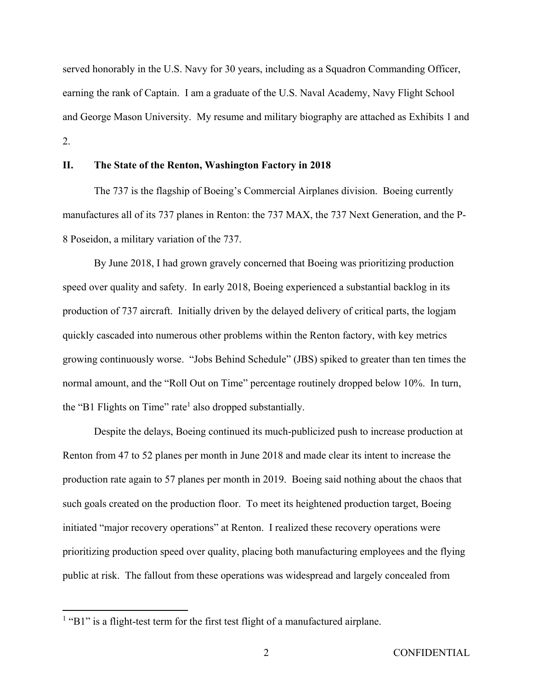served honorably in the U.S. Navy for 30 years, including as a Squadron Commanding Officer, earning the rank of Captain. I am a graduate of the U.S. Naval Academy, Navy Flight School and George Mason University. My resume and military biography are attached as Exhibits 1 and 2.

## **II. The State of the Renton, Washington Factory in 2018**

The 737 is the flagship of Boeing's Commercial Airplanes division. Boeing currently manufactures all of its 737 planes in Renton: the 737 MAX, the 737 Next Generation, and the P-8 Poseidon, a military variation of the 737.

By June 2018, I had grown gravely concerned that Boeing was prioritizing production speed over quality and safety. In early 2018, Boeing experienced a substantial backlog in its production of 737 aircraft. Initially driven by the delayed delivery of critical parts, the logjam quickly cascaded into numerous other problems within the Renton factory, with key metrics growing continuously worse. "Jobs Behind Schedule" (JBS) spiked to greater than ten times the normal amount, and the "Roll Out on Time" percentage routinely dropped below 10%. In turn, the "B1 Flights on Time" rate<sup>1</sup> also dropped substantially.

Despite the delays, Boeing continued its much-publicized push to increase production at Renton from 47 to 52 planes per month in June 2018 and made clear its intent to increase the production rate again to 57 planes per month in 2019. Boeing said nothing about the chaos that such goals created on the production floor. To meet its heightened production target, Boeing initiated "major recovery operations" at Renton. I realized these recovery operations were prioritizing production speed over quality, placing both manufacturing employees and the flying public at risk. The fallout from these operations was widespread and largely concealed from

<u>.</u>

 $<sup>1</sup>$  "B1" is a flight-test term for the first test flight of a manufactured airplane.</sup>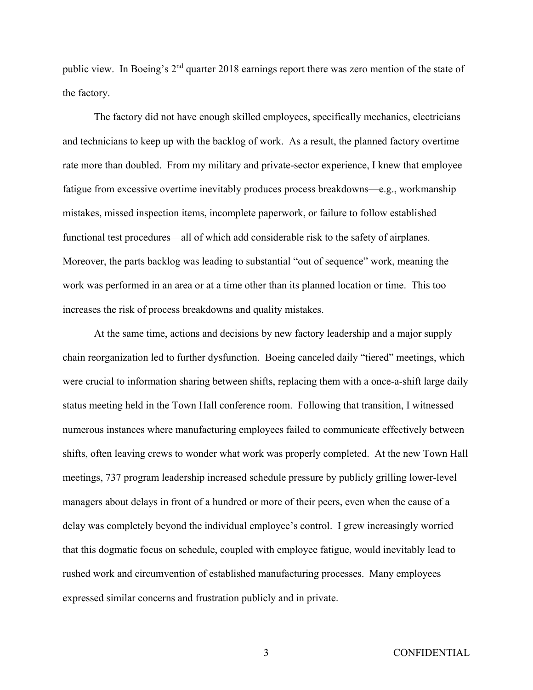public view. In Boeing's 2<sup>nd</sup> quarter 2018 earnings report there was zero mention of the state of the factory.

The factory did not have enough skilled employees, specifically mechanics, electricians and technicians to keep up with the backlog of work. As a result, the planned factory overtime rate more than doubled. From my military and private-sector experience, I knew that employee fatigue from excessive overtime inevitably produces process breakdowns—e.g., workmanship mistakes, missed inspection items, incomplete paperwork, or failure to follow established functional test procedures—all of which add considerable risk to the safety of airplanes. Moreover, the parts backlog was leading to substantial "out of sequence" work, meaning the work was performed in an area or at a time other than its planned location or time. This too increases the risk of process breakdowns and quality mistakes.

At the same time, actions and decisions by new factory leadership and a major supply chain reorganization led to further dysfunction. Boeing canceled daily "tiered" meetings, which were crucial to information sharing between shifts, replacing them with a once-a-shift large daily status meeting held in the Town Hall conference room. Following that transition, I witnessed numerous instances where manufacturing employees failed to communicate effectively between shifts, often leaving crews to wonder what work was properly completed. At the new Town Hall meetings, 737 program leadership increased schedule pressure by publicly grilling lower-level managers about delays in front of a hundred or more of their peers, even when the cause of a delay was completely beyond the individual employee's control. I grew increasingly worried that this dogmatic focus on schedule, coupled with employee fatigue, would inevitably lead to rushed work and circumvention of established manufacturing processes. Many employees expressed similar concerns and frustration publicly and in private.

3 CONFIDENTIAL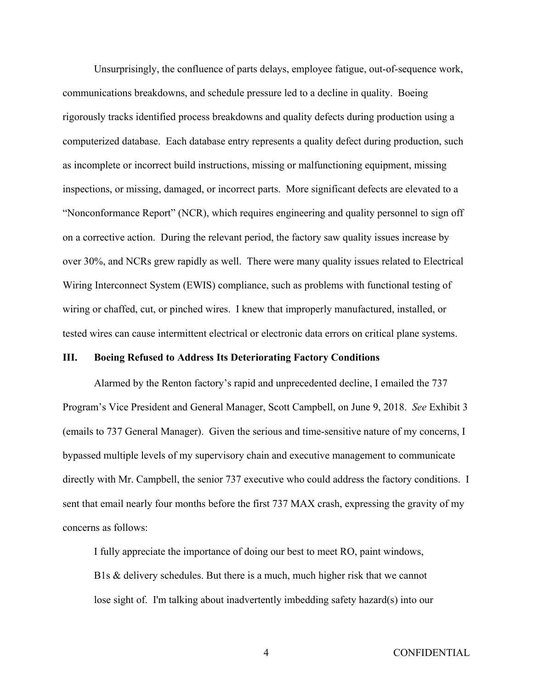Unsurprisingly, the confluence of parts delays, employee fatigue, out-of-sequence work, communications breakdowns, and schedule pressure led to a decline in quality. Boeing rigorously tracks identified process breakdowns and quality defects during production using a computerized database. Each database entry represents a quality defect during production, such as incomplete or incorrect build instructions, missing or malfunctioning equipment, missing inspections, or missing, damaged, or incorrect parts. More significant defects are elevated to a "Nonconformance Report" (NCR), which requires engineering and quality personnel to sign off on a corrective action. During the relevant period, the factory saw quality issues increase by over 30%, and NCRs grew rapidly as well. There were many quality issues related to Electrical Wiring Interconnect System (EWIS) compliance, such as problems with functional testing of wiring or chaffed, cut, or pinched wires. I knew that improperly manufactured, installed, or tested wires can cause intermittent electrical or electronic data errors on critical plane systems.

### **III. Boeing Refused to Address Its Deteriorating Factory Conditions**

Alarmed by the Renton factory's rapid and unprecedented decline, I emailed the 737 Program's Vice President and General Manager, Scott Campbell, on June 9, 2018. *See* Exhibit 3 (emails to 737 General Manager). Given the serious and time-sensitive nature of my concerns, I bypassed multiple levels of my supervisory chain and executive management to communicate directly with Mr. Campbell, the senior 737 executive who could address the factory conditions. I sent that email nearly four months before the first 737 MAX crash, expressing the gravity of my concerns as follows:

I fully appreciate the importance of doing our best to meet RO, paint windows, B1s & delivery schedules. But there is a much, much higher risk that we cannot lose sight of. I'm talking about inadvertently imbedding safety hazard(s) into our

4 CONFIDENTIAL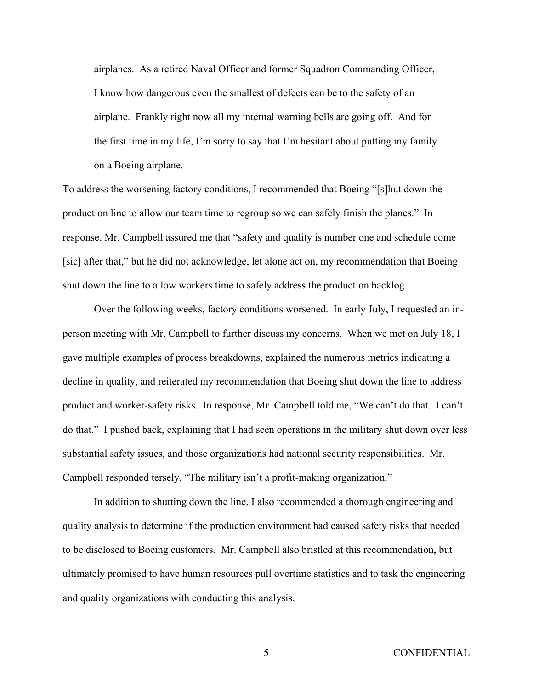airplanes. As a retired Naval Officer and former Squadron Commanding Officer, I know how dangerous even the smallest of defects can be to the safety of an airplane. Frankly right now all my internal warning bells are going off. And for the first time in my life, I'm sorry to say that I'm hesitant about putting my family on a Boeing airplane.

To address the worsening factory conditions, I recommended that Boeing "[s]hut down the production line to allow our team time to regroup so we can safely finish the planes." In response, Mr. Campbell assured me that "safety and quality is number one and schedule come [sic] after that," but he did not acknowledge, let alone act on, my recommendation that Boeing shut down the line to allow workers time to safely address the production backlog.

Over the following weeks, factory conditions worsened. In early July, I requested an inperson meeting with Mr. Campbell to further discuss my concerns. When we met on July 18, I gave multiple examples of process breakdowns, explained the numerous metrics indicating a decline in quality, and reiterated my recommendation that Boeing shut down the line to address product and worker-safety risks. In response, Mr. Campbell told me, "We can't do that. I can't do that." I pushed back, explaining that I had seen operations in the military shut down over less substantial safety issues, and those organizations had national security responsibilities. Mr. Campbell responded tersely, "The military isn't a profit-making organization."

In addition to shutting down the line, I also recommended a thorough engineering and quality analysis to determine if the production environment had caused safety risks that needed to be disclosed to Boeing customers. Mr. Campbell also bristled at this recommendation, but ultimately promised to have human resources pull overtime statistics and to task the engineering and quality organizations with conducting this analysis.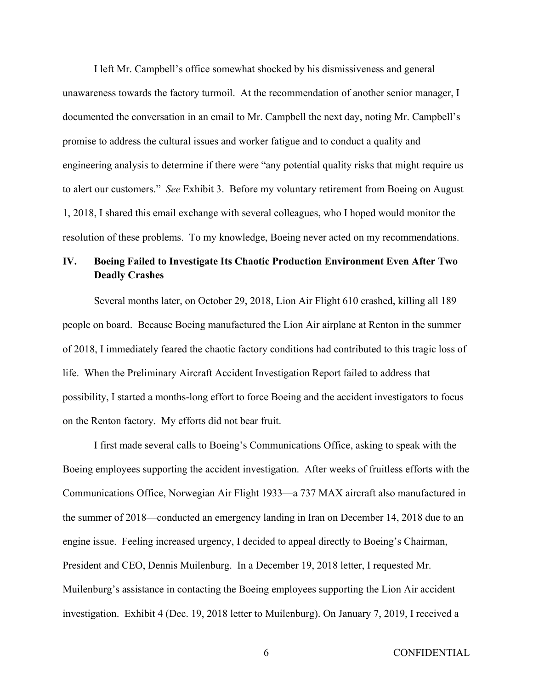I left Mr. Campbell's office somewhat shocked by his dismissiveness and general unawareness towards the factory turmoil. At the recommendation of another senior manager, I documented the conversation in an email to Mr. Campbell the next day, noting Mr. Campbell's promise to address the cultural issues and worker fatigue and to conduct a quality and engineering analysis to determine if there were "any potential quality risks that might require us to alert our customers." *See* Exhibit 3. Before my voluntary retirement from Boeing on August 1, 2018, I shared this email exchange with several colleagues, who I hoped would monitor the resolution of these problems. To my knowledge, Boeing never acted on my recommendations.

# **IV. Boeing Failed to Investigate Its Chaotic Production Environment Even After Two Deadly Crashes**

Several months later, on October 29, 2018, Lion Air Flight 610 crashed, killing all 189 people on board. Because Boeing manufactured the Lion Air airplane at Renton in the summer of 2018, I immediately feared the chaotic factory conditions had contributed to this tragic loss of life. When the Preliminary Aircraft Accident Investigation Report failed to address that possibility, I started a months-long effort to force Boeing and the accident investigators to focus on the Renton factory. My efforts did not bear fruit.

I first made several calls to Boeing's Communications Office, asking to speak with the Boeing employees supporting the accident investigation. After weeks of fruitless efforts with the Communications Office, Norwegian Air Flight 1933—a 737 MAX aircraft also manufactured in the summer of 2018—conducted an emergency landing in Iran on December 14, 2018 due to an engine issue. Feeling increased urgency, I decided to appeal directly to Boeing's Chairman, President and CEO, Dennis Muilenburg. In a December 19, 2018 letter, I requested Mr. Muilenburg's assistance in contacting the Boeing employees supporting the Lion Air accident investigation. Exhibit 4 (Dec. 19, 2018 letter to Muilenburg). On January 7, 2019, I received a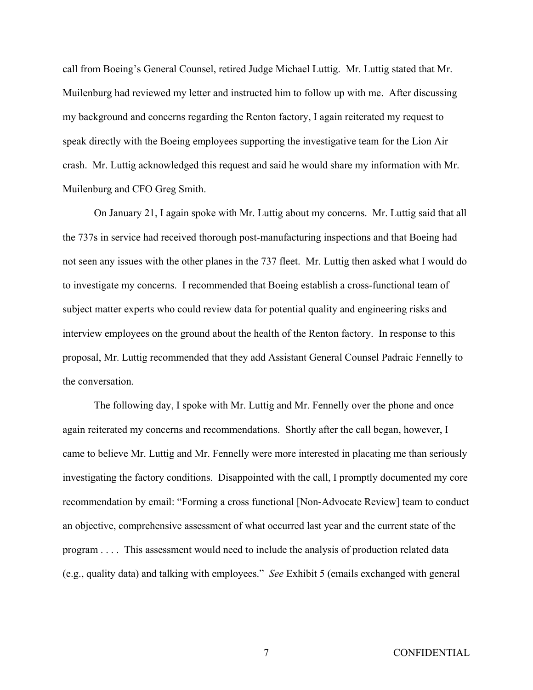call from Boeing's General Counsel, retired Judge Michael Luttig. Mr. Luttig stated that Mr. Muilenburg had reviewed my letter and instructed him to follow up with me. After discussing my background and concerns regarding the Renton factory, I again reiterated my request to speak directly with the Boeing employees supporting the investigative team for the Lion Air crash. Mr. Luttig acknowledged this request and said he would share my information with Mr. Muilenburg and CFO Greg Smith.

On January 21, I again spoke with Mr. Luttig about my concerns. Mr. Luttig said that all the 737s in service had received thorough post-manufacturing inspections and that Boeing had not seen any issues with the other planes in the 737 fleet. Mr. Luttig then asked what I would do to investigate my concerns. I recommended that Boeing establish a cross-functional team of subject matter experts who could review data for potential quality and engineering risks and interview employees on the ground about the health of the Renton factory. In response to this proposal, Mr. Luttig recommended that they add Assistant General Counsel Padraic Fennelly to the conversation.

The following day, I spoke with Mr. Luttig and Mr. Fennelly over the phone and once again reiterated my concerns and recommendations. Shortly after the call began, however, I came to believe Mr. Luttig and Mr. Fennelly were more interested in placating me than seriously investigating the factory conditions. Disappointed with the call, I promptly documented my core recommendation by email: "Forming a cross functional [Non-Advocate Review] team to conduct an objective, comprehensive assessment of what occurred last year and the current state of the program . . . . This assessment would need to include the analysis of production related data (e.g., quality data) and talking with employees." *See* Exhibit 5 (emails exchanged with general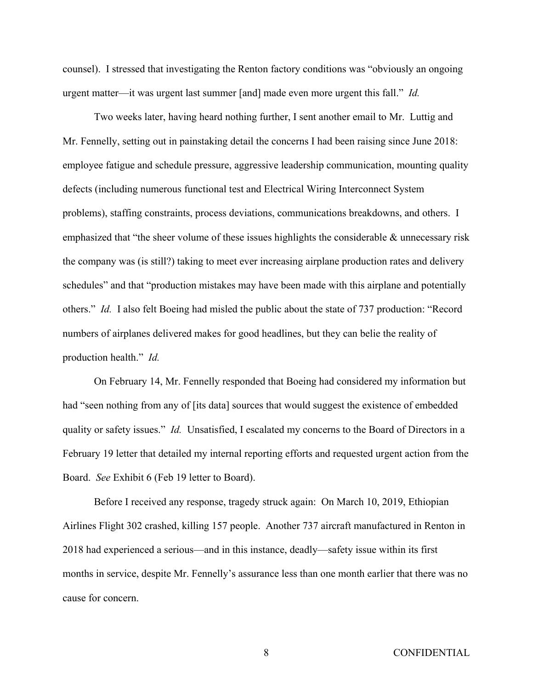counsel). I stressed that investigating the Renton factory conditions was "obviously an ongoing urgent matter—it was urgent last summer [and] made even more urgent this fall." *Id.* 

Two weeks later, having heard nothing further, I sent another email to Mr. Luttig and Mr. Fennelly, setting out in painstaking detail the concerns I had been raising since June 2018: employee fatigue and schedule pressure, aggressive leadership communication, mounting quality defects (including numerous functional test and Electrical Wiring Interconnect System problems), staffing constraints, process deviations, communications breakdowns, and others. I emphasized that "the sheer volume of these issues highlights the considerable & unnecessary risk the company was (is still?) taking to meet ever increasing airplane production rates and delivery schedules" and that "production mistakes may have been made with this airplane and potentially others." *Id.* I also felt Boeing had misled the public about the state of 737 production: "Record numbers of airplanes delivered makes for good headlines, but they can belie the reality of production health." *Id.* 

On February 14, Mr. Fennelly responded that Boeing had considered my information but had "seen nothing from any of [its data] sources that would suggest the existence of embedded quality or safety issues." *Id.* Unsatisfied, I escalated my concerns to the Board of Directors in a February 19 letter that detailed my internal reporting efforts and requested urgent action from the Board. *See* Exhibit 6 (Feb 19 letter to Board).

Before I received any response, tragedy struck again: On March 10, 2019, Ethiopian Airlines Flight 302 crashed, killing 157 people. Another 737 aircraft manufactured in Renton in 2018 had experienced a serious—and in this instance, deadly—safety issue within its first months in service, despite Mr. Fennelly's assurance less than one month earlier that there was no cause for concern.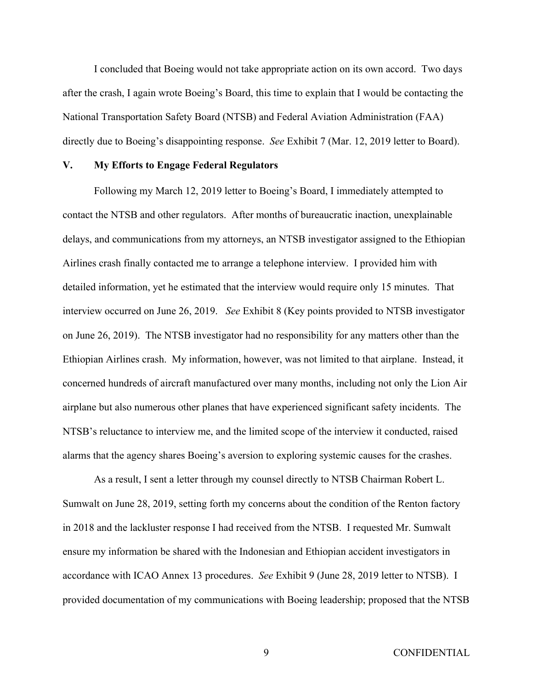I concluded that Boeing would not take appropriate action on its own accord. Two days after the crash, I again wrote Boeing's Board, this time to explain that I would be contacting the National Transportation Safety Board (NTSB) and Federal Aviation Administration (FAA) directly due to Boeing's disappointing response. *See* Exhibit 7 (Mar. 12, 2019 letter to Board).

### **V. My Efforts to Engage Federal Regulators**

Following my March 12, 2019 letter to Boeing's Board, I immediately attempted to contact the NTSB and other regulators. After months of bureaucratic inaction, unexplainable delays, and communications from my attorneys, an NTSB investigator assigned to the Ethiopian Airlines crash finally contacted me to arrange a telephone interview. I provided him with detailed information, yet he estimated that the interview would require only 15 minutes. That interview occurred on June 26, 2019. *See* Exhibit 8 (Key points provided to NTSB investigator on June 26, 2019). The NTSB investigator had no responsibility for any matters other than the Ethiopian Airlines crash. My information, however, was not limited to that airplane. Instead, it concerned hundreds of aircraft manufactured over many months, including not only the Lion Air airplane but also numerous other planes that have experienced significant safety incidents. The NTSB's reluctance to interview me, and the limited scope of the interview it conducted, raised alarms that the agency shares Boeing's aversion to exploring systemic causes for the crashes.

As a result, I sent a letter through my counsel directly to NTSB Chairman Robert L. Sumwalt on June 28, 2019, setting forth my concerns about the condition of the Renton factory in 2018 and the lackluster response I had received from the NTSB. I requested Mr. Sumwalt ensure my information be shared with the Indonesian and Ethiopian accident investigators in accordance with ICAO Annex 13 procedures. *See* Exhibit 9 (June 28, 2019 letter to NTSB). I provided documentation of my communications with Boeing leadership; proposed that the NTSB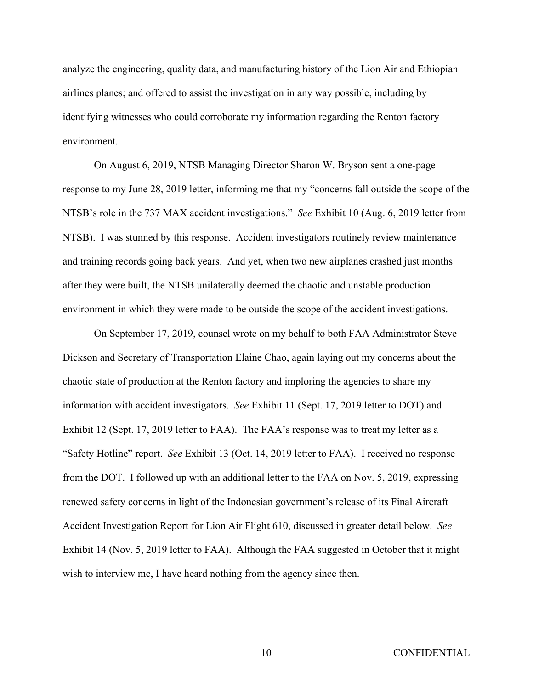analyze the engineering, quality data, and manufacturing history of the Lion Air and Ethiopian airlines planes; and offered to assist the investigation in any way possible, including by identifying witnesses who could corroborate my information regarding the Renton factory environment.

 On August 6, 2019, NTSB Managing Director Sharon W. Bryson sent a one-page response to my June 28, 2019 letter, informing me that my "concerns fall outside the scope of the NTSB's role in the 737 MAX accident investigations." *See* Exhibit 10 (Aug. 6, 2019 letter from NTSB). I was stunned by this response. Accident investigators routinely review maintenance and training records going back years. And yet, when two new airplanes crashed just months after they were built, the NTSB unilaterally deemed the chaotic and unstable production environment in which they were made to be outside the scope of the accident investigations.

 On September 17, 2019, counsel wrote on my behalf to both FAA Administrator Steve Dickson and Secretary of Transportation Elaine Chao, again laying out my concerns about the chaotic state of production at the Renton factory and imploring the agencies to share my information with accident investigators. *See* Exhibit 11 (Sept. 17, 2019 letter to DOT) and Exhibit 12 (Sept. 17, 2019 letter to FAA). The FAA's response was to treat my letter as a "Safety Hotline" report. *See* Exhibit 13 (Oct. 14, 2019 letter to FAA). I received no response from the DOT. I followed up with an additional letter to the FAA on Nov. 5, 2019, expressing renewed safety concerns in light of the Indonesian government's release of its Final Aircraft Accident Investigation Report for Lion Air Flight 610, discussed in greater detail below. *See*  Exhibit 14 (Nov. 5, 2019 letter to FAA). Although the FAA suggested in October that it might wish to interview me, I have heard nothing from the agency since then.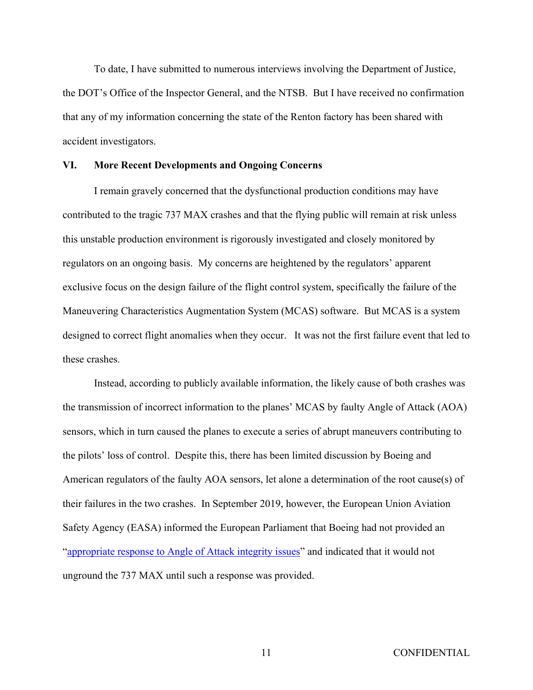To date, I have submitted to numerous interviews involving the Department of Justice, the DOT's Office of the Inspector General, and the NTSB. But I have received no confirmation that any of my information concerning the state of the Renton factory has been shared with accident investigators.

### **VI. More Recent Developments and Ongoing Concerns**

I remain gravely concerned that the dysfunctional production conditions may have contributed to the tragic 737 MAX crashes and that the flying public will remain at risk unless this unstable production environment is rigorously investigated and closely monitored by regulators on an ongoing basis. My concerns are heightened by the regulators' apparent exclusive focus on the design failure of the flight control system, specifically the failure of the Maneuvering Characteristics Augmentation System (MCAS) software. But MCAS is a system designed to correct flight anomalies when they occur. It was not the first failure event that led to these crashes.

Instead, according to publicly available information, the likely cause of both crashes was the transmission of incorrect information to the planes' MCAS by faulty Angle of Attack (AOA) sensors, which in turn caused the planes to execute a series of abrupt maneuvers contributing to the pilots' loss of control. Despite this, there has been limited discussion by Boeing and American regulators of the faulty AOA sensors, let alone a determination of the root cause(s) of their failures in the two crashes. In September 2019, however, the European Union Aviation Safety Agency (EASA) informed the European Parliament that Boeing had not provided an "appropriate response to Angle of Attack integrity issues" and indicated that it would not unground the 737 MAX until such a response was provided.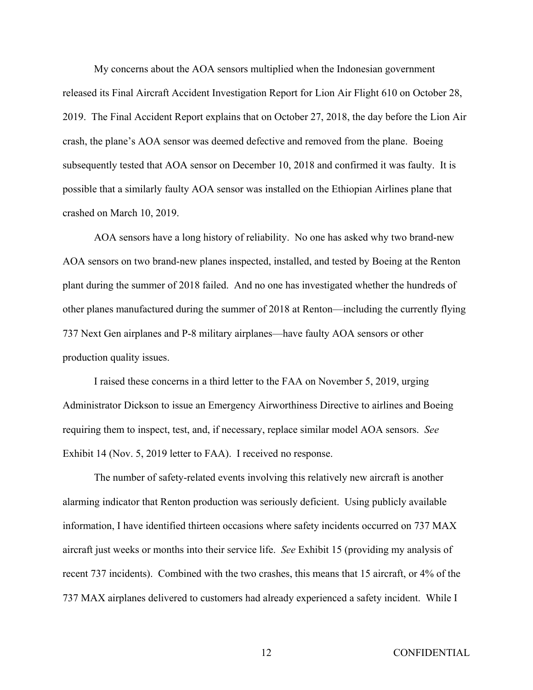My concerns about the AOA sensors multiplied when the Indonesian government released its Final Aircraft Accident Investigation Report for Lion Air Flight 610 on October 28, 2019. The Final Accident Report explains that on October 27, 2018, the day before the Lion Air crash, the plane's AOA sensor was deemed defective and removed from the plane. Boeing subsequently tested that AOA sensor on December 10, 2018 and confirmed it was faulty. It is possible that a similarly faulty AOA sensor was installed on the Ethiopian Airlines plane that crashed on March 10, 2019.

AOA sensors have a long history of reliability. No one has asked why two brand-new AOA sensors on two brand-new planes inspected, installed, and tested by Boeing at the Renton plant during the summer of 2018 failed. And no one has investigated whether the hundreds of other planes manufactured during the summer of 2018 at Renton—including the currently flying 737 Next Gen airplanes and P-8 military airplanes—have faulty AOA sensors or other production quality issues.

I raised these concerns in a third letter to the FAA on November 5, 2019, urging Administrator Dickson to issue an Emergency Airworthiness Directive to airlines and Boeing requiring them to inspect, test, and, if necessary, replace similar model AOA sensors. *See*  Exhibit 14 (Nov. 5, 2019 letter to FAA). I received no response.

The number of safety-related events involving this relatively new aircraft is another alarming indicator that Renton production was seriously deficient. Using publicly available information, I have identified thirteen occasions where safety incidents occurred on 737 MAX aircraft just weeks or months into their service life. *See* Exhibit 15 (providing my analysis of recent 737 incidents). Combined with the two crashes, this means that 15 aircraft, or 4% of the 737 MAX airplanes delivered to customers had already experienced a safety incident. While I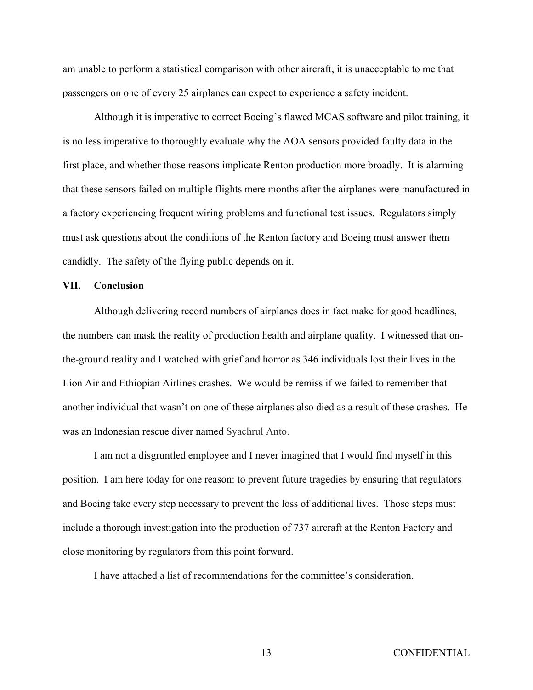am unable to perform a statistical comparison with other aircraft, it is unacceptable to me that passengers on one of every 25 airplanes can expect to experience a safety incident.

 Although it is imperative to correct Boeing's flawed MCAS software and pilot training, it is no less imperative to thoroughly evaluate why the AOA sensors provided faulty data in the first place, and whether those reasons implicate Renton production more broadly. It is alarming that these sensors failed on multiple flights mere months after the airplanes were manufactured in a factory experiencing frequent wiring problems and functional test issues. Regulators simply must ask questions about the conditions of the Renton factory and Boeing must answer them candidly. The safety of the flying public depends on it.

## **VII. Conclusion**

Although delivering record numbers of airplanes does in fact make for good headlines, the numbers can mask the reality of production health and airplane quality. I witnessed that onthe-ground reality and I watched with grief and horror as 346 individuals lost their lives in the Lion Air and Ethiopian Airlines crashes. We would be remiss if we failed to remember that another individual that wasn't on one of these airplanes also died as a result of these crashes. He was an Indonesian rescue diver named Syachrul Anto.

I am not a disgruntled employee and I never imagined that I would find myself in this position. I am here today for one reason: to prevent future tragedies by ensuring that regulators and Boeing take every step necessary to prevent the loss of additional lives. Those steps must include a thorough investigation into the production of 737 aircraft at the Renton Factory and close monitoring by regulators from this point forward.

I have attached a list of recommendations for the committee's consideration.